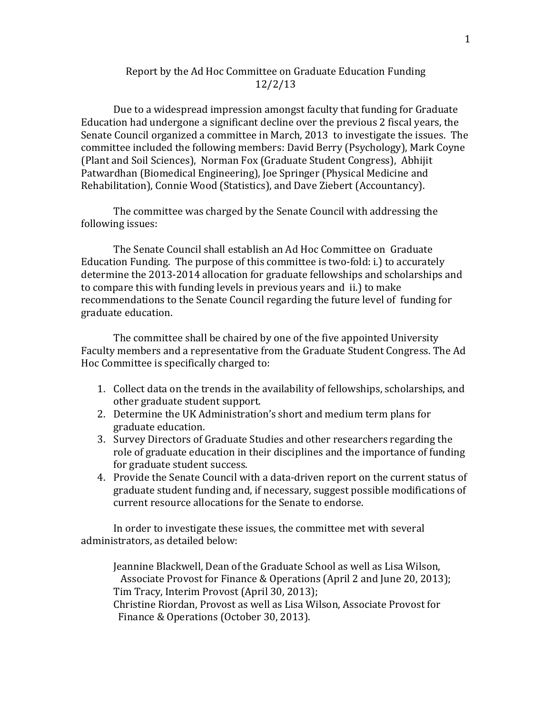# Report by the Ad Hoc Committee on Graduate Education Funding 12/2/13

Due to a widespread impression amongst faculty that funding for Graduate Education had undergone a significant decline over the previous 2 fiscal years, the Senate Council organized a committee in March, 2013 to investigate the issues. The committee included the following members: David Berry (Psychology), Mark Coyne (Plant and Soil Sciences), Norman Fox (Graduate Student Congress), Abhijit Patwardhan (Biomedical Engineering), Joe Springer (Physical Medicine and Rehabilitation), Connie Wood (Statistics), and Dave Ziebert (Accountancy).

The committee was charged by the Senate Council with addressing the following issues:

The Senate Council shall establish an Ad Hoc Committee on Graduate Education Funding. The purpose of this committee is two-fold: i.) to accurately determine the 2013-2014 allocation for graduate fellowships and scholarships and to compare this with funding levels in previous years and ii.) to make recommendations to the Senate Council regarding the future level of funding for graduate education.

The committee shall be chaired by one of the five appointed University Faculty members and a representative from the Graduate Student Congress. The Ad Hoc Committee is specifically charged to:

- 1. Collect data on the trends in the availability of fellowships, scholarships, and other graduate student support.
- 2. Determine the UK Administration's short and medium term plans for graduate education.
- 3. Survey Directors of Graduate Studies and other researchers regarding the role of graduate education in their disciplines and the importance of funding for graduate student success.
- 4. Provide the Senate Council with a data-driven report on the current status of graduate student funding and, if necessary, suggest possible modifications of current resource allocations for the Senate to endorse.

In order to investigate these issues, the committee met with several administrators, as detailed below:

Jeannine Blackwell, Dean of the Graduate School as well as Lisa Wilson, Associate Provost for Finance & Operations (April 2 and June 20, 2013); Tim Tracy, Interim Provost (April 30, 2013); Christine Riordan, Provost as well as Lisa Wilson, Associate Provost for Finance & Operations (October 30, 2013).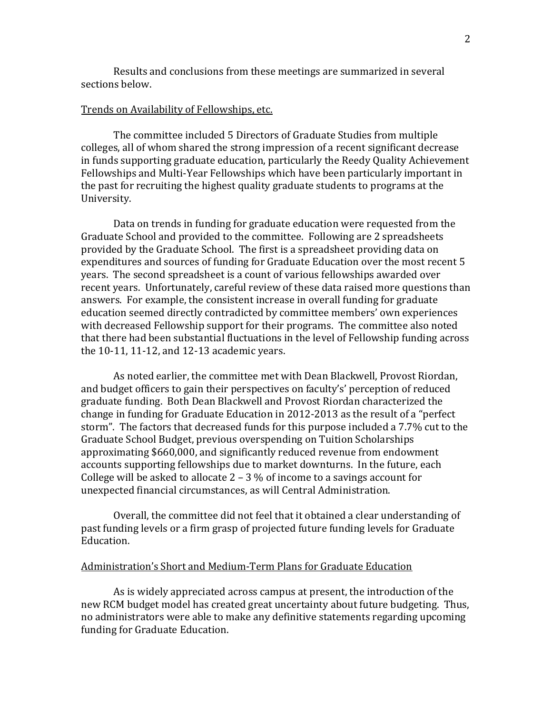Results and conclusions from these meetings are summarized in several sections below.

#### Trends on Availability of Fellowships, etc.

The committee included 5 Directors of Graduate Studies from multiple colleges, all of whom shared the strong impression of a recent significant decrease in funds supporting graduate education, particularly the Reedy Quality Achievement Fellowships and Multi-Year Fellowships which have been particularly important in the past for recruiting the highest quality graduate students to programs at the University.

Data on trends in funding for graduate education were requested from the Graduate School and provided to the committee. Following are 2 spreadsheets provided by the Graduate School. The first is a spreadsheet providing data on expenditures and sources of funding for Graduate Education over the most recent 5 years. The second spreadsheet is a count of various fellowships awarded over recent years. Unfortunately, careful review of these data raised more questions than answers. For example, the consistent increase in overall funding for graduate education seemed directly contradicted by committee members' own experiences with decreased Fellowship support for their programs. The committee also noted that there had been substantial fluctuations in the level of Fellowship funding across the 10-11, 11-12, and 12-13 academic years.

As noted earlier, the committee met with Dean Blackwell, Provost Riordan, and budget officers to gain their perspectives on faculty's' perception of reduced graduate funding. Both Dean Blackwell and Provost Riordan characterized the change in funding for Graduate Education in 2012-2013 as the result of a "perfect storm". The factors that decreased funds for this purpose included a 7.7% cut to the Graduate School Budget, previous overspending on Tuition Scholarships approximating \$660,000, and significantly reduced revenue from endowment accounts supporting fellowships due to market downturns. In the future, each College will be asked to allocate  $2 - 3$  % of income to a savings account for unexpected financial circumstances, as will Central Administration.

Overall, the committee did not feel that it obtained a clear understanding of past funding levels or a firm grasp of projected future funding levels for Graduate Education.

## Administration's Short and Medium-Term Plans for Graduate Education

As is widely appreciated across campus at present, the introduction of the new RCM budget model has created great uncertainty about future budgeting. Thus, no administrators were able to make any definitive statements regarding upcoming funding for Graduate Education.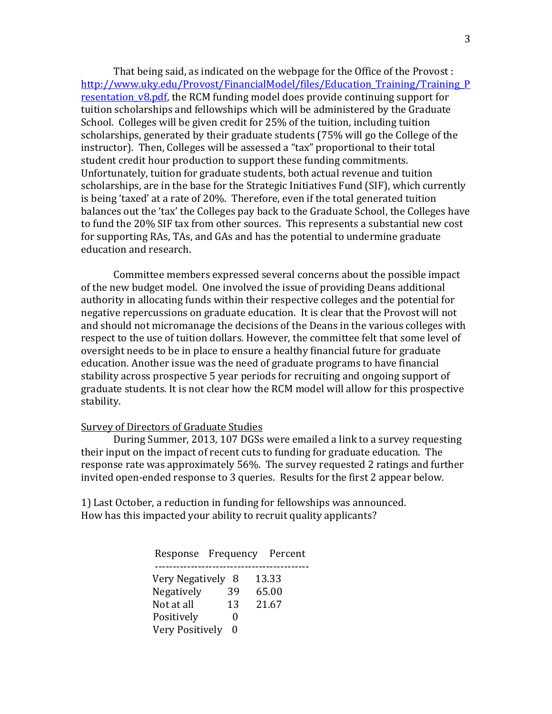That being said, as indicated on the webpage for the Office of the Provost : [http://www.uky.edu/Provost/FinancialModel/files/Education\\_Training/Training\\_P](http://www.uky.edu/Provost/FinancialModel/files/Education_Training/Training_Presentation_v8.pdf) resentation v8.pdf, the RCM funding model does provide continuing support for tuition scholarships and fellowships which will be administered by the Graduate School. Colleges will be given credit for 25% of the tuition, including tuition scholarships, generated by their graduate students (75% will go the College of the instructor). Then, Colleges will be assessed a "tax" proportional to their total student credit hour production to support these funding commitments. Unfortunately, tuition for graduate students, both actual revenue and tuition scholarships, are in the base for the Strategic Initiatives Fund (SIF), which currently is being 'taxed' at a rate of 20%. Therefore, even if the total generated tuition balances out the 'tax' the Colleges pay back to the Graduate School, the Colleges have to fund the 20% SIF tax from other sources. This represents a substantial new cost for supporting RAs, TAs, and GAs and has the potential to undermine graduate education and research.

Committee members expressed several concerns about the possible impact of the new budget model. One involved the issue of providing Deans additional authority in allocating funds within their respective colleges and the potential for negative repercussions on graduate education. It is clear that the Provost will not and should not micromanage the decisions of the Deans in the various colleges with respect to the use of tuition dollars. However, the committee felt that some level of oversight needs to be in place to ensure a healthy financial future for graduate education. Another issue was the need of graduate programs to have financial stability across prospective 5 year periods for recruiting and ongoing support of graduate students. It is not clear how the RCM model will allow for this prospective stability.

#### Survey of Directors of Graduate Studies

During Summer, 2013, 107 DGSs were emailed a link to a survey requesting their input on the impact of recent cuts to funding for graduate education. The response rate was approximately 56%. The survey requested 2 ratings and further invited open-ended response to 3 queries. Results for the first 2 appear below.

1) Last October, a reduction in funding for fellowships was announced. How has this impacted your ability to recruit quality applicants?

| Response Frequency |    | Percent |
|--------------------|----|---------|
| Very Negatively 8  |    | 13.33   |
| Negatively         | 39 | 65.00   |
| Not at all         | 13 | 21.67   |
| Positively         |    |         |
| Very Positively    | -0 |         |